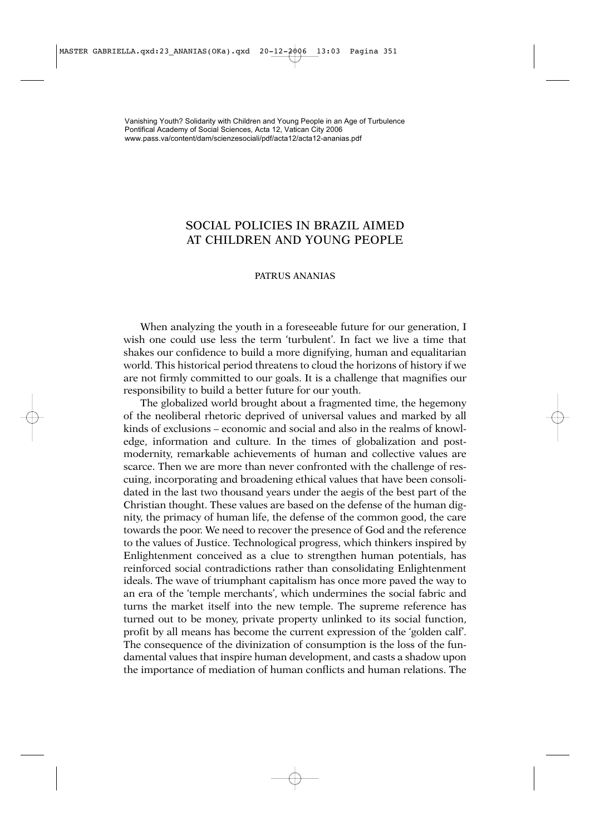## SOCIAL POLICIES IN BRAZIL AIMED AT CHILDREN AND YOUNG PEOPLE

## PATRUS ANANIAS

When analyzing the youth in a foreseeable future for our generation, I wish one could use less the term 'turbulent'. In fact we live a time that shakes our confidence to build a more dignifying, human and equalitarian world. This historical period threatens to cloud the horizons of history if we are not firmly committed to our goals. It is a challenge that magnifies our responsibility to build a better future for our youth.

The globalized world brought about a fragmented time, the hegemony of the neoliberal rhetoric deprived of universal values and marked by all kinds of exclusions – economic and social and also in the realms of knowledge, information and culture. In the times of globalization and postmodernity, remarkable achievements of human and collective values are scarce. Then we are more than never confronted with the challenge of rescuing, incorporating and broadening ethical values that have been consolidated in the last two thousand years under the aegis of the best part of the Christian thought. These values are based on the defense of the human dignity, the primacy of human life, the defense of the common good, the care towards the poor. We need to recover the presence of God and the reference to the values of Justice. Technological progress, which thinkers inspired by Enlightenment conceived as a clue to strengthen human potentials, has reinforced social contradictions rather than consolidating Enlightenment ideals. The wave of triumphant capitalism has once more paved the way to an era of the 'temple merchants', which undermines the social fabric and turns the market itself into the new temple. The supreme reference has turned out to be money, private property unlinked to its social function, profit by all means has become the current expression of the 'golden calf'. The consequence of the divinization of consumption is the loss of the fundamental values that inspire human development, and casts a shadow upon the importance of mediation of human conflicts and human relations. The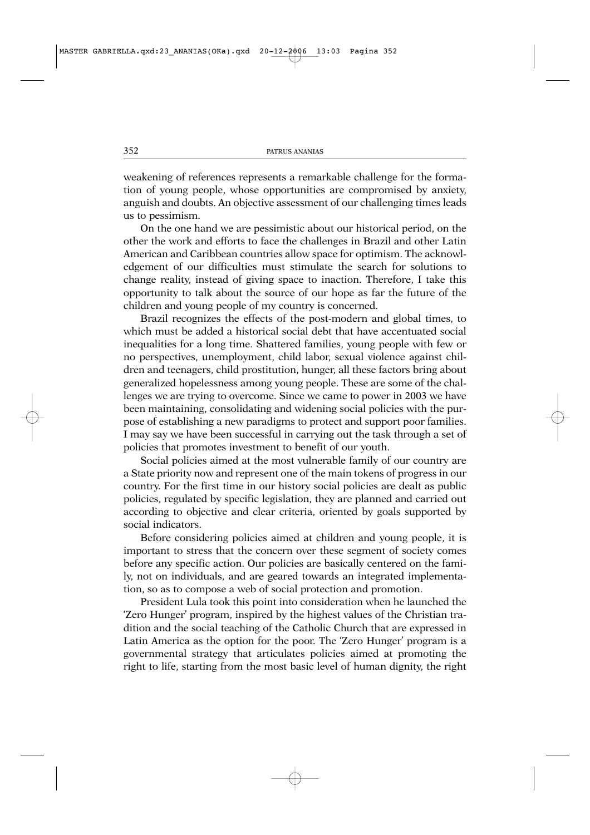weakening of references represents a remarkable challenge for the formation of young people, whose opportunities are compromised by anxiety, anguish and doubts. An objective assessment of our challenging times leads us to pessimism.

On the one hand we are pessimistic about our historical period, on the other the work and efforts to face the challenges in Brazil and other Latin American and Caribbean countries allow space for optimism. The acknowledgement of our difficulties must stimulate the search for solutions to change reality, instead of giving space to inaction. Therefore, I take this opportunity to talk about the source of our hope as far the future of the children and young people of my country is concerned.

Brazil recognizes the effects of the post-modern and global times, to which must be added a historical social debt that have accentuated social inequalities for a long time. Shattered families, young people with few or no perspectives, unemployment, child labor, sexual violence against children and teenagers, child prostitution, hunger, all these factors bring about generalized hopelessness among young people. These are some of the challenges we are trying to overcome. Since we came to power in 2003 we have been maintaining, consolidating and widening social policies with the purpose of establishing a new paradigms to protect and support poor families. I may say we have been successful in carrying out the task through a set of policies that promotes investment to benefit of our youth.

Social policies aimed at the most vulnerable family of our country are a State priority now and represent one of the main tokens of progress in our country. For the first time in our history social policies are dealt as public policies, regulated by specific legislation, they are planned and carried out according to objective and clear criteria, oriented by goals supported by social indicators.

Before considering policies aimed at children and young people, it is important to stress that the concern over these segment of society comes before any specific action. Our policies are basically centered on the family, not on individuals, and are geared towards an integrated implementation, so as to compose a web of social protection and promotion.

President Lula took this point into consideration when he launched the 'Zero Hunger' program, inspired by the highest values of the Christian tradition and the social teaching of the Catholic Church that are expressed in Latin America as the option for the poor. The 'Zero Hunger' program is a governmental strategy that articulates policies aimed at promoting the right to life, starting from the most basic level of human dignity, the right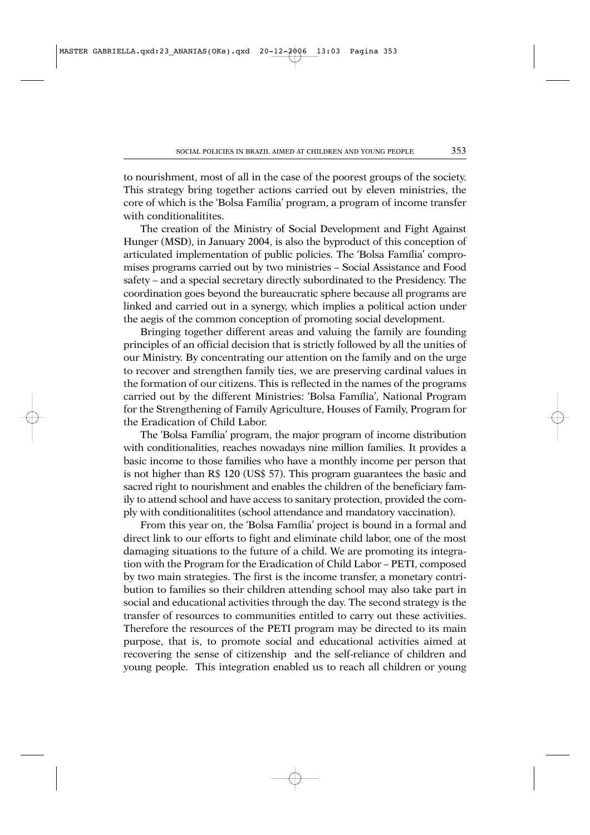to nourishment, most of all in the case of the poorest groups of the society. This strategy bring together actions carried out by eleven ministries, the core of which is the 'Bolsa Família' program, a program of income transfer with conditionalitites.

The creation of the Ministry of Social Development and Fight Against Hunger (MSD), in January 2004, is also the byproduct of this conception of articulated implementation of public policies. The 'Bolsa Família' compromises programs carried out by two ministries – Social Assistance and Food safety – and a special secretary directly subordinated to the Presidency. The coordination goes beyond the bureaucratic sphere because all programs are linked and carried out in a synergy, which implies a political action under the aegis of the common conception of promoting social development.

Bringing together different areas and valuing the family are founding principles of an official decision that is strictly followed by all the unities of our Ministry. By concentrating our attention on the family and on the urge to recover and strengthen family ties, we are preserving cardinal values in the formation of our citizens. This is reflected in the names of the programs carried out by the different Ministries: 'Bolsa Família', National Program for the Strengthening of Family Agriculture, Houses of Family, Program for the Eradication of Child Labor.

The 'Bolsa Família' program, the major program of income distribution with conditionalities, reaches nowadays nine million families. It provides a basic income to those families who have a monthly income per person that is not higher than R\$ 120 (US\$ 57). This program guarantees the basic and sacred right to nourishment and enables the children of the beneficiary family to attend school and have access to sanitary protection, provided the comply with conditionalitites (school attendance and mandatory vaccination).

From this year on, the 'Bolsa Família' project is bound in a formal and direct link to our efforts to fight and eliminate child labor, one of the most damaging situations to the future of a child. We are promoting its integration with the Program for the Eradication of Child Labor – PETI, composed by two main strategies. The first is the income transfer, a monetary contribution to families so their children attending school may also take part in social and educational activities through the day. The second strategy is the transfer of resources to communities entitled to carry out these activities. Therefore the resources of the PETI program may be directed to its main purpose, that is, to promote social and educational activities aimed at recovering the sense of citizenship and the self-reliance of children and young people. This integration enabled us to reach all children or young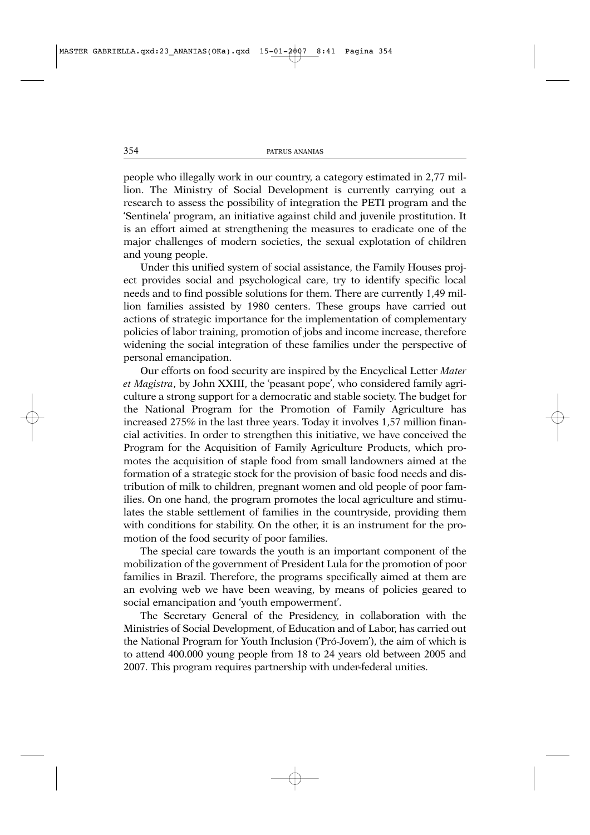people who illegally work in our country, a category estimated in 2,77 million. The Ministry of Social Development is currently carrying out a research to assess the possibility of integration the PETI program and the 'Sentinela' program, an initiative against child and juvenile prostitution. It is an effort aimed at strengthening the measures to eradicate one of the major challenges of modern societies, the sexual explotation of children and young people.

Under this unified system of social assistance, the Family Houses project provides social and psychological care, try to identify specific local needs and to find possible solutions for them. There are currently 1,49 million families assisted by 1980 centers. These groups have carried out actions of strategic importance for the implementation of complementary policies of labor training, promotion of jobs and income increase, therefore widening the social integration of these families under the perspective of personal emancipation.

Our efforts on food security are inspired by the Encyclical Letter *Mater et Magistra*, by John XXIII, the 'peasant pope', who considered family agriculture a strong support for a democratic and stable society. The budget for the National Program for the Promotion of Family Agriculture has increased 275% in the last three years. Today it involves 1,57 million financial activities. In order to strengthen this initiative, we have conceived the Program for the Acquisition of Family Agriculture Products, which promotes the acquisition of staple food from small landowners aimed at the formation of a strategic stock for the provision of basic food needs and distribution of milk to children, pregnant women and old people of poor families. On one hand, the program promotes the local agriculture and stimulates the stable settlement of families in the countryside, providing them with conditions for stability. On the other, it is an instrument for the promotion of the food security of poor families.

The special care towards the youth is an important component of the mobilization of the government of President Lula for the promotion of poor families in Brazil. Therefore, the programs specifically aimed at them are an evolving web we have been weaving, by means of policies geared to social emancipation and 'youth empowerment'.

The Secretary General of the Presidency, in collaboration with the Ministries of Social Development, of Education and of Labor, has carried out the National Program for Youth Inclusion ('Pró-Jovem'), the aim of which is to attend 400.000 young people from 18 to 24 years old between 2005 and 2007. This program requires partnership with under-federal unities.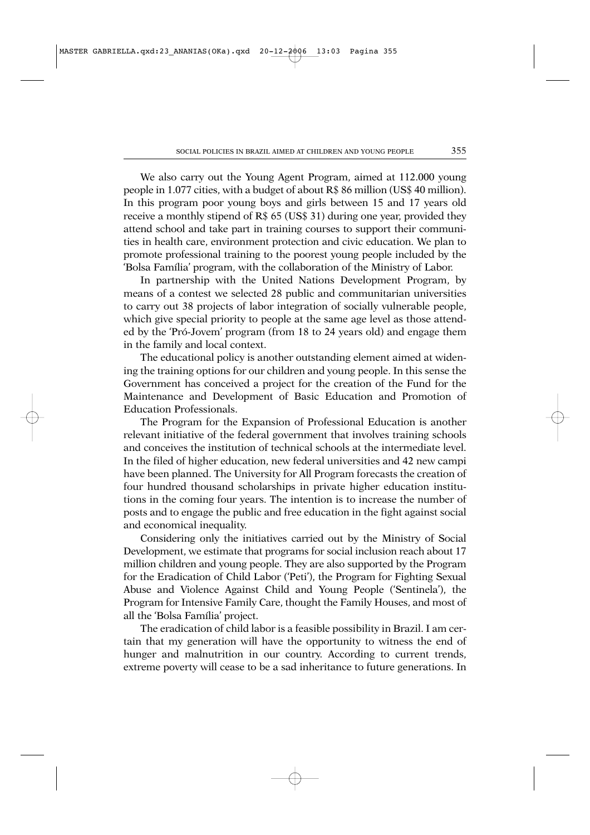We also carry out the Young Agent Program, aimed at 112.000 young people in 1.077 cities, with a budget of about R\$ 86 million (US\$ 40 million). In this program poor young boys and girls between 15 and 17 years old receive a monthly stipend of R\$ 65 (US\$ 31) during one year, provided they attend school and take part in training courses to support their communities in health care, environment protection and civic education. We plan to promote professional training to the poorest young people included by the 'Bolsa Família' program, with the collaboration of the Ministry of Labor.

In partnership with the United Nations Development Program, by means of a contest we selected 28 public and communitarian universities to carry out 38 projects of labor integration of socially vulnerable people, which give special priority to people at the same age level as those attended by the 'Pró-Jovem' program (from 18 to 24 years old) and engage them in the family and local context.

The educational policy is another outstanding element aimed at widening the training options for our children and young people. In this sense the Government has conceived a project for the creation of the Fund for the Maintenance and Development of Basic Education and Promotion of Education Professionals.

The Program for the Expansion of Professional Education is another relevant initiative of the federal government that involves training schools and conceives the institution of technical schools at the intermediate level. In the filed of higher education, new federal universities and 42 new campi have been planned. The University for All Program forecasts the creation of four hundred thousand scholarships in private higher education institutions in the coming four years. The intention is to increase the number of posts and to engage the public and free education in the fight against social and economical inequality.

Considering only the initiatives carried out by the Ministry of Social Development, we estimate that programs for social inclusion reach about 17 million children and young people. They are also supported by the Program for the Eradication of Child Labor ('Peti'), the Program for Fighting Sexual Abuse and Violence Against Child and Young People ('Sentinela'), the Program for Intensive Family Care, thought the Family Houses, and most of all the 'Bolsa Família' project.

The eradication of child labor is a feasible possibility in Brazil. I am certain that my generation will have the opportunity to witness the end of hunger and malnutrition in our country. According to current trends, extreme poverty will cease to be a sad inheritance to future generations. In